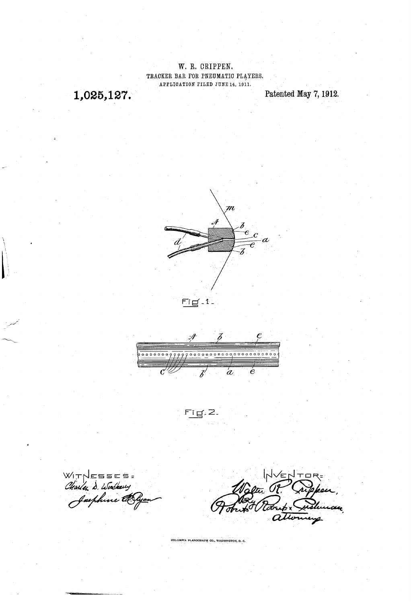W. R. CRIPPEN. TRACKER BAR FOR PNEUMATIC PLAYERS. APPLICATION FILED JUNE 14, 1911.

1,025,127.

Patented May 7, 1912.



Z  $\mathscr{J}$ 00000000999990000000000000000000000000  $\alpha$  $\epsilon$  $\mathcal C$ Ż

೯ī ថ≓2.

WITNESSES =<br>Charley D. Wookerry<br>Jasphine CO

Æ ان ۱ Tõb

COLUMBIA PLANOGRAPH CO., WASHINGTON, D. C.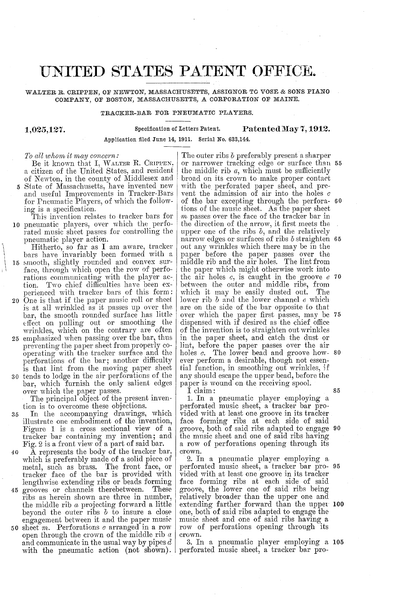## UNITED STATES PATENT OFFICE.

## WALTER R. CRIPPEN, OF NEWTON, MASSACHUSETTS, ASSIGNOR TO VOSE & SONS PIANO COMPANY, OF BOSTON, MASSACHUSETTS, A CORPORATION OF MAINE.

## TRACKER-BAR FOR PNEUMATIC PLAYERS.

1,025,127.

Specification of Letters Patent. Patented May 7, 1912.

Application filed June 14, 1911. Serial No. 633,144.

## To all whom it may concern:

Be it known that I, WALTER R. CRIPPEN,<br>a citizen of the United States, and resident of Newton, in the county of Middlesex and<br>5 State of Massachusetts, have invented new and useful Improvements in Tracker-Bars<br>for Pneumatic Players, of which the follow-

 $\mathbf{0}^$ for Ineumatic Players, of which the follow-<br>ing is a specification.<br>This invention relates to tracker bars for<br>pneumatic players, over which the perfo-<br>rated music sheet passes for controlling the<br>pneumatic player action.

Hitherto, so far as I am aware, tracker bars have invariably been formed with a 15 smooth, slightly rounded and convex sursmooth, slightly rounded and convex surface, through which open the row of performations communicating with the player action. Two chief difficulties have been ex perienced with tracker bars of this form:

- 20 One is that if the paper music roll or sheet is at all wrinkled as it passes up over the bar, the smooth rounded surface has little
- 25 emphasized when passing over the bar, thus<br>preventing the paper sheet from properly coeffect on pulling out or smoothing the<br>wrinkles, which on the contrary are often<br>emphasized when passing over the bar, thus<br>preventing the paper sheet from properly co-<br>operating with the tracker surface and the<br>perforatio
- 30 tends to lodge in the air perforations of the bar, which furnish the only salient edges over which the paper passes.

The principal object of the present invention is to overcome these objections.

- 35 In the accompanying drawings, which illustrate one embodiment of the invention, Figure 1 is a cross sectional view of a<br>tracker bar containing my invention; and<br>Fig. 2 is a front view of a part of said bar.<br>A represents the body of the tracker bar.
- 40 45 grooves or channels therebetween. These A represents the body of the tracker bar, which is preferably made of a solid piece of metal, such as brass. The front face, or tracker face of the bar is provided with lengthwise extending ribs or beads forming
- ribs as herein shown are three in number, the middle rib  $a$  projecting forward a little beyond the outer ribs  $b$  to insure a close engagement between it and the paper music
- 50 sheet *m*. Perforations  $c$  arranged in a row open through the crown of the middle rib  $a$ <br>and communicate in the usual way by pipes  $d$ <br>with the pneumatic action (not shown).

The outer ribs b preferably present a sharper or narrower tracking edge or surface than 55 the middle rib  $a$ , which must be sufficiently broad on its crown to make proper contact with the perforated paper sheet, and prevent the admission of air into the holes  $c$ of the bar excepting through the perforations of the music sheet. As the paper sheet m passes over the face of the tracker bar in the direction of the arrow, it first meets the upper one of the ribs  $b$ , and the relatively out any wrinkles which there may be in the paper before the paper passes over the middle rib and the air holes. The lint from the paper which might otherwise Work into the air holes  $c$ , is caught in the groove  $e$  70 which it may be easily dusted out. The lower rib  $b$  and the lower channel  $e$  which are on the side of the bar opposite to that over which the paper first passes, may be dispensed with if desired as the chief office of the invention is to straighten out wrinkles<br>in the paper sheet, and catch the dust or lint, before the paper passes over the air holes  $c$ . The lower bead and groove how-80 ever perform a desirable, though not essen tial function, in Smoothing out Wrinkles, if any should escape the upper bead, before the paper is wound on the receiving spool. of the bar excepting through the perfora- 60 narrow edges or surfaces of ribs  $b$  straighten 65  $\sigma$ 

I claim:

1. In a pneumatic player employing a perforated music sheet, a tracker bar provided with at least one groove in its tracker<br>face forming ribs at each side of said the music sheet and one of said ribs having<br>a row of perforations opening through its crown. groove, both of said ribs adapted to engage 90

2. In a pneumatic player employing a vided with at least one groove in its tracker<br>face forming ribs at each side of said<br>groove, the lower one of said ribs being groove, the lower one of said ribs being relatively broader than the upper one and extending farther forward than the uppet 100 one, both of said ribs adapted to engage the music sheet and one of Said ribs having a row of perforations opening through its crown. 95

3. In a pneumatic player employing a 105 perforated music sheet, a tracker bar pro

85